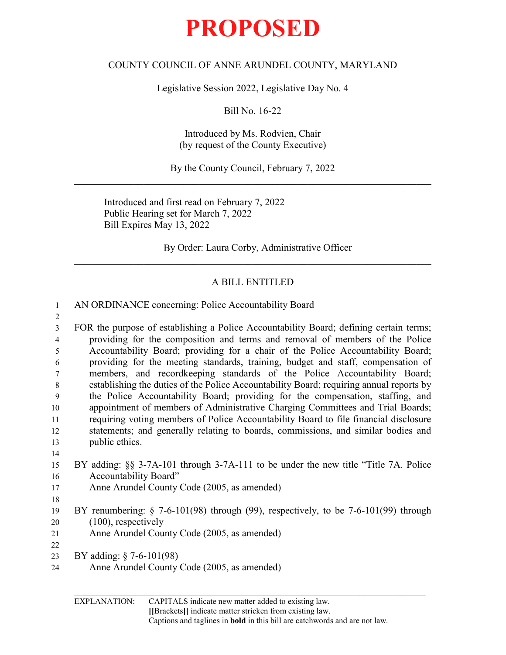## **PROPOSED**

## COUNTY COUNCIL OF ANNE ARUNDEL COUNTY, MARYLAND

Legislative Session 2022, Legislative Day No. 4

Bill No. 16-22

Introduced by Ms. Rodvien, Chair (by request of the County Executive)

By the County Council, February 7, 2022  $\mathcal{L}_\text{G}$  , and the contribution of the contribution of the contribution of the contribution of the contribution of the contribution of the contribution of the contribution of the contribution of the contribution of t

Introduced and first read on February 7, 2022 Public Hearing set for March 7, 2022 Bill Expires May 13, 2022

By Order: Laura Corby, Administrative Officer  $\mathcal{L}_\text{G}$  , and the contribution of the contribution of the contribution of the contribution of the contribution of the contribution of the contribution of the contribution of the contribution of the contribution of t

## A BILL ENTITLED

| $\mathbf{1}$   | AN ORDINANCE concerning: Police Accountability Board                                     |
|----------------|------------------------------------------------------------------------------------------|
| $\overline{2}$ |                                                                                          |
| $\overline{3}$ | FOR the purpose of establishing a Police Accountability Board; defining certain terms;   |
| $\overline{4}$ | providing for the composition and terms and removal of members of the Police             |
| 5              | Accountability Board; providing for a chair of the Police Accountability Board;          |
| 6              | providing for the meeting standards, training, budget and staff, compensation of         |
| 7              | members, and recordkeeping standards of the Police Accountability Board;                 |
| 8              | establishing the duties of the Police Accountability Board; requiring annual reports by  |
| 9              | the Police Accountability Board; providing for the compensation, staffing, and           |
| 10             | appointment of members of Administrative Charging Committees and Trial Boards;           |
| 11             | requiring voting members of Police Accountability Board to file financial disclosure     |
| 12             | statements; and generally relating to boards, commissions, and similar bodies and        |
| 13             | public ethics.                                                                           |
| 14             |                                                                                          |
| 15             | BY adding: $\S$ § 3-7A-101 through 3-7A-111 to be under the new title "Title 7A. Police" |
| 16             | Accountability Board"                                                                    |
| 17             | Anne Arundel County Code (2005, as amended)                                              |
| 18             |                                                                                          |
| 19             | BY renumbering: $\S$ 7-6-101(98) through (99), respectively, to be 7-6-101(99) through   |
| 20             | $(100)$ , respectively                                                                   |
| 21             | Anne Arundel County Code (2005, as amended)                                              |
| 22             |                                                                                          |
| 23             | BY adding: $\S$ 7-6-101(98)                                                              |
| 24             | Anne Arundel County Code (2005, as amended)                                              |
|                |                                                                                          |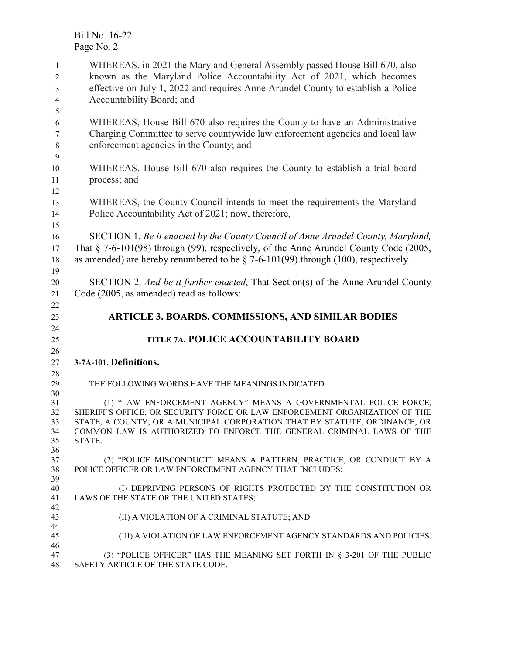WHEREAS, in 2021 the Maryland General Assembly passed House Bill 670, also known as the Maryland Police Accountability Act of 2021, which becomes effective on July 1, 2022 and requires Anne Arundel County to establish a Police Accountability Board; and WHEREAS, House Bill 670 also requires the County to have an Administrative Charging Committee to serve countywide law enforcement agencies and local law enforcement agencies in the County; and WHEREAS, House Bill 670 also requires the County to establish a trial board process; and WHEREAS, the County Council intends to meet the requirements the Maryland Police Accountability Act of 2021; now, therefore, SECTION 1. *Be it enacted by the County Council of Anne Arundel County, Maryland,*  That § 7-6-101(98) through (99), respectively, of the Anne Arundel County Code (2005, as amended) are hereby renumbered to be § 7-6-101(99) through (100), respectively. SECTION 2. *And be it further enacted*, That Section(s) of the Anne Arundel County Code (2005, as amended) read as follows: **ARTICLE 3. BOARDS, COMMISSIONS, AND SIMILAR BODIES TITLE 7A. POLICE ACCOUNTABILITY BOARD 3-7A-101. Definitions.** THE FOLLOWING WORDS HAVE THE MEANINGS INDICATED. (1) "LAW ENFORCEMENT AGENCY" MEANS A GOVERNMENTAL POLICE FORCE, SHERIFF'S OFFICE, OR SECURITY FORCE OR LAW ENFORCEMENT ORGANIZATION OF THE STATE, A COUNTY, OR A MUNICIPAL CORPORATION THAT BY STATUTE, ORDINANCE, OR COMMON LAW IS AUTHORIZED TO ENFORCE THE GENERAL CRIMINAL LAWS OF THE STATE. (2) "POLICE MISCONDUCT" MEANS A PATTERN, PRACTICE, OR CONDUCT BY A POLICE OFFICER OR LAW ENFORCEMENT AGENCY THAT INCLUDES: (I) DEPRIVING PERSONS OF RIGHTS PROTECTED BY THE CONSTITUTION OR LAWS OF THE STATE OR THE UNITED STATES; (II) A VIOLATION OF A CRIMINAL STATUTE; AND (III) A VIOLATION OF LAW ENFORCEMENT AGENCY STANDARDS AND POLICIES. 47 (3) "POLICE OFFICER" HAS THE MEANING SET FORTH IN  $\S$  3-201 OF THE PUBLIC 48 SAFETY ARTICLE OF THE STATE CODE. SAFETY ARTICLE OF THE STATE CODE.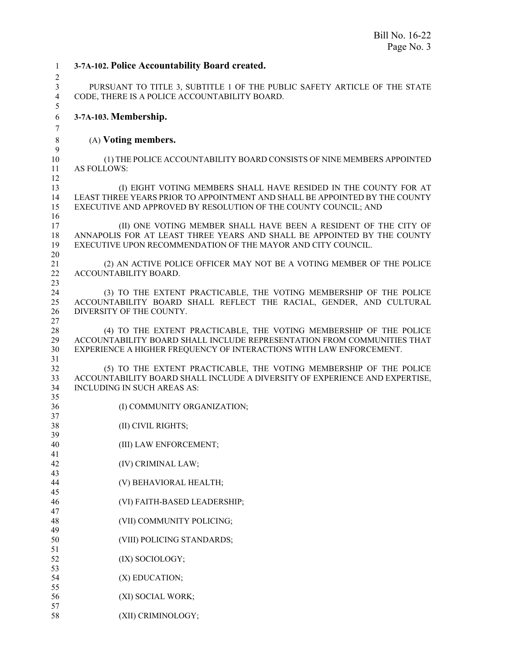**3-7A-102. Police Accountability Board created.**  PURSUANT TO TITLE 3, SUBTITLE 1 OF THE PUBLIC SAFETY ARTICLE OF THE STATE CODE, THERE IS A POLICE ACCOUNTABILITY BOARD. **3-7A-103. Membership.** (A) **Voting members.** (1) THE POLICE ACCOUNTABILITY BOARD CONSISTS OF NINE MEMBERS APPOINTED AS FOLLOWS: (I) EIGHT VOTING MEMBERS SHALL HAVE RESIDED IN THE COUNTY FOR AT LEAST THREE YEARS PRIOR TO APPOINTMENT AND SHALL BE APPOINTED BY THE COUNTY EXECUTIVE AND APPROVED BY RESOLUTION OF THE COUNTY COUNCIL; AND (II) ONE VOTING MEMBER SHALL HAVE BEEN A RESIDENT OF THE CITY OF 18 ANNAPOLIS FOR AT LEAST THREE YEARS AND SHALL BE APPOINTED BY THE COUNTY 19 EXECUTIVE UPON RECOMMENDATION OF THE MAYOR AND CITY COUNCIL. EXECUTIVE UPON RECOMMENDATION OF THE MAYOR AND CITY COUNCIL. 21 (2) AN ACTIVE POLICE OFFICER MAY NOT BE A VOTING MEMBER OF THE POLICE 22 ACCOUNTABILITY BOARD. ACCOUNTABILITY BOARD. 24 (3) TO THE EXTENT PRACTICABLE, THE VOTING MEMBERSHIP OF THE POLICE<br>25 ACCOUNTABILITY BOARD SHALL REFLECT THE RACIAL, GENDER, AND CULTURAL ACCOUNTABILITY BOARD SHALL REFLECT THE RACIAL, GENDER, AND CULTURAL DIVERSITY OF THE COUNTY. (4) TO THE EXTENT PRACTICABLE, THE VOTING MEMBERSHIP OF THE POLICE ACCOUNTABILITY BOARD SHALL INCLUDE REPRESENTATION FROM COMMUNITIES THAT EXPERIENCE A HIGHER FREQUENCY OF INTERACTIONS WITH LAW ENFORCEMENT. (5) TO THE EXTENT PRACTICABLE, THE VOTING MEMBERSHIP OF THE POLICE 33 ACCOUNTABILITY BOARD SHALL INCLUDE A DIVERSITY OF EXPERIENCE AND EXPERTISE,<br>34 INCLUDING IN SUCH AREAS AS: INCLUDING IN SUCH AREAS AS: (I) COMMUNITY ORGANIZATION; (II) CIVIL RIGHTS; (III) LAW ENFORCEMENT; (IV) CRIMINAL LAW; (V) BEHAVIORAL HEALTH; (VI) FAITH-BASED LEADERSHIP; (VII) COMMUNITY POLICING; (VIII) POLICING STANDARDS; 52 (IX) SOCIOLOGY; 54 (X) EDUCATION; (XI) SOCIAL WORK; (XII) CRIMINOLOGY;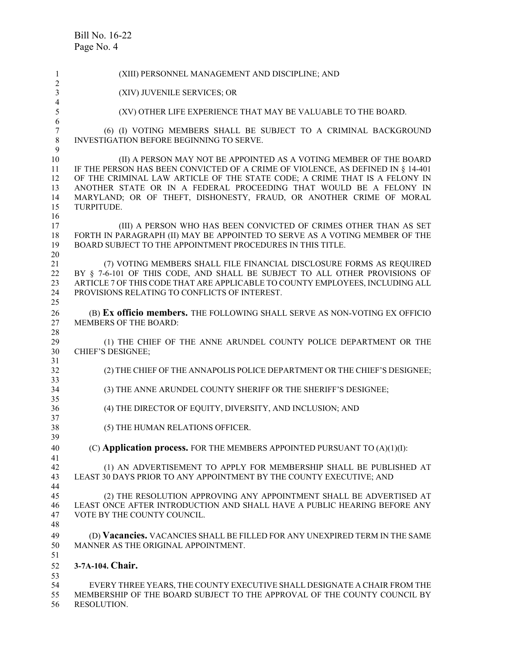| $\mathbf{1}$<br>$\overline{2}$ | (XIII) PERSONNEL MANAGEMENT AND DISCIPLINE; AND                                                                                                             |
|--------------------------------|-------------------------------------------------------------------------------------------------------------------------------------------------------------|
| $\overline{\mathbf{3}}$        | (XIV) JUVENILE SERVICES; OR                                                                                                                                 |
| 4<br>5                         | (XV) OTHER LIFE EXPERIENCE THAT MAY BE VALUABLE TO THE BOARD.                                                                                               |
| 6                              |                                                                                                                                                             |
| $\boldsymbol{7}$<br>$\,8\,$    | (6) (I) VOTING MEMBERS SHALL BE SUBJECT TO A CRIMINAL BACKGROUND<br><b>INVESTIGATION BEFORE BEGINNING TO SERVE.</b>                                         |
| 9                              |                                                                                                                                                             |
| 10<br>11                       | (II) A PERSON MAY NOT BE APPOINTED AS A VOTING MEMBER OF THE BOARD<br>IF THE PERSON HAS BEEN CONVICTED OF A CRIME OF VIOLENCE, AS DEFINED IN § 14-401       |
| 12                             | OF THE CRIMINAL LAW ARTICLE OF THE STATE CODE; A CRIME THAT IS A FELONY IN                                                                                  |
| 13                             | ANOTHER STATE OR IN A FEDERAL PROCEEDING THAT WOULD BE A FELONY IN                                                                                          |
| 14<br>15                       | MARYLAND; OR OF THEFT, DISHONESTY, FRAUD, OR ANOTHER CRIME OF MORAL<br>TURPITUDE.                                                                           |
| 16                             |                                                                                                                                                             |
| 17                             | (III) A PERSON WHO HAS BEEN CONVICTED OF CRIMES OTHER THAN AS SET                                                                                           |
| 18<br>19                       | FORTH IN PARAGRAPH (II) MAY BE APPOINTED TO SERVE AS A VOTING MEMBER OF THE<br>BOARD SUBJECT TO THE APPOINTMENT PROCEDURES IN THIS TITLE.                   |
| 20                             |                                                                                                                                                             |
| 21                             | (7) VOTING MEMBERS SHALL FILE FINANCIAL DISCLOSURE FORMS AS REQUIRED                                                                                        |
| 22<br>23                       | BY § 7-6-101 OF THIS CODE, AND SHALL BE SUBJECT TO ALL OTHER PROVISIONS OF<br>ARTICLE 7 OF THIS CODE THAT ARE APPLICABLE TO COUNTY EMPLOYEES, INCLUDING ALL |
| 24                             | PROVISIONS RELATING TO CONFLICTS OF INTEREST.                                                                                                               |
| 25                             |                                                                                                                                                             |
| 26<br>27                       | (B) Ex officio members. THE FOLLOWING SHALL SERVE AS NON-VOTING EX OFFICIO<br><b>MEMBERS OF THE BOARD:</b>                                                  |
| 28                             |                                                                                                                                                             |
| 29                             | (1) THE CHIEF OF THE ANNE ARUNDEL COUNTY POLICE DEPARTMENT OR THE                                                                                           |
| 30<br>31                       | <b>CHIEF'S DESIGNEE;</b>                                                                                                                                    |
| 32                             | (2) THE CHIEF OF THE ANNAPOLIS POLICE DEPARTMENT OR THE CHIEF'S DESIGNEE;                                                                                   |
| 33                             |                                                                                                                                                             |
| 34<br>35                       | (3) THE ANNE ARUNDEL COUNTY SHERIFF OR THE SHERIFF'S DESIGNEE;                                                                                              |
| 36                             | (4) THE DIRECTOR OF EQUITY, DIVERSITY, AND INCLUSION; AND                                                                                                   |
| 37<br>38                       | (5) THE HUMAN RELATIONS OFFICER.                                                                                                                            |
| 39                             |                                                                                                                                                             |
| 40                             | (C) Application process. FOR THE MEMBERS APPOINTED PURSUANT TO (A)(1)(I):                                                                                   |
| 41<br>42                       | (1) AN ADVERTISEMENT TO APPLY FOR MEMBERSHIP SHALL BE PUBLISHED AT                                                                                          |
| 43                             | LEAST 30 DAYS PRIOR TO ANY APPOINTMENT BY THE COUNTY EXECUTIVE; AND                                                                                         |
| 44                             |                                                                                                                                                             |
| 45                             | (2) THE RESOLUTION APPROVING ANY APPOINTMENT SHALL BE ADVERTISED AT                                                                                         |
| 46<br>47                       | LEAST ONCE AFTER INTRODUCTION AND SHALL HAVE A PUBLIC HEARING BEFORE ANY<br>VOTE BY THE COUNTY COUNCIL.                                                     |
| 48                             |                                                                                                                                                             |
| 49                             | (D) Vacancies. VACANCIES SHALL BE FILLED FOR ANY UNEXPIRED TERM IN THE SAME                                                                                 |
| 50<br>51                       | MANNER AS THE ORIGINAL APPOINTMENT.                                                                                                                         |
| 52                             | 3-7A-104. Chair.                                                                                                                                            |
| 53                             |                                                                                                                                                             |
| 54                             | EVERY THREE YEARS, THE COUNTY EXECUTIVE SHALL DESIGNATE A CHAIR FROM THE                                                                                    |
| 55                             | MEMBERSHIP OF THE BOARD SUBJECT TO THE APPROVAL OF THE COUNTY COUNCIL BY                                                                                    |

RESOLUTION.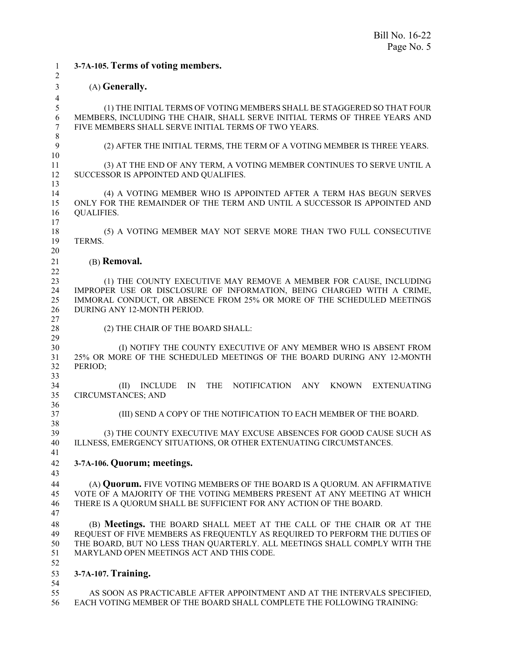**3-7A-105. Terms of voting members.** (A) **Generally.**  (1) THE INITIAL TERMS OF VOTING MEMBERS SHALL BE STAGGERED SO THAT FOUR MEMBERS, INCLUDING THE CHAIR, SHALL SERVE INITIAL TERMS OF THREE YEARS AND FIVE MEMBERS SHALL SERVE INITIAL TERMS OF TWO YEARS. (2) AFTER THE INITIAL TERMS, THE TERM OF A VOTING MEMBER IS THREE YEARS. (3) AT THE END OF ANY TERM, A VOTING MEMBER CONTINUES TO SERVE UNTIL A SUCCESSOR IS APPOINTED AND QUALIFIES. (4) A VOTING MEMBER WHO IS APPOINTED AFTER A TERM HAS BEGUN SERVES ONLY FOR THE REMAINDER OF THE TERM AND UNTIL A SUCCESSOR IS APPOINTED AND QUALIFIES. 18 (5) A VOTING MEMBER MAY NOT SERVE MORE THAN TWO FULL CONSECUTIVE 19 TERMS. TERMS. (B) **Removal.** (1) THE COUNTY EXECUTIVE MAY REMOVE A MEMBER FOR CAUSE, INCLUDING 24 IMPROPER USE OR DISCLOSURE OF INFORMATION, BEING CHARGED WITH A CRIME,<br>25 IMMORAL CONDUCT, OR ABSENCE FROM 25% OR MORE OF THE SCHEDULED MEETINGS IMMORAL CONDUCT, OR ABSENCE FROM 25% OR MORE OF THE SCHEDULED MEETINGS DURING ANY 12-MONTH PERIOD. 28 (2) THE CHAIR OF THE BOARD SHALL: 30 (I) NOTIFY THE COUNTY EXECUTIVE OF ANY MEMBER WHO IS ABSENT FROM<br>31 25% OR MORE OF THE SCHEDULED MEETINGS OF THE BOARD DURING ANY 12-MONTH 25% OR MORE OF THE SCHEDULED MEETINGS OF THE BOARD DURING ANY 12-MONTH PERIOD; (II) INCLUDE IN THE NOTIFICATION ANY KNOWN EXTENUATING CIRCUMSTANCES; AND  $\frac{36}{37}$ (III) SEND A COPY OF THE NOTIFICATION TO EACH MEMBER OF THE BOARD. (3) THE COUNTY EXECUTIVE MAY EXCUSE ABSENCES FOR GOOD CAUSE SUCH AS ILLNESS, EMERGENCY SITUATIONS, OR OTHER EXTENUATING CIRCUMSTANCES. **3-7A-106. Quorum; meetings.** 44 (A) **Quorum.** FIVE VOTING MEMBERS OF THE BOARD IS A QUORUM. AN AFFIRMATIVE 45 VOTE OF A MAJORITY OF THE VOTING MEMBERS PRESENT AT ANY MEETING AT WHICH VOTE OF A MAJORITY OF THE VOTING MEMBERS PRESENT AT ANY MEETING AT WHICH THERE IS A QUORUM SHALL BE SUFFICIENT FOR ANY ACTION OF THE BOARD. (B) **Meetings.** THE BOARD SHALL MEET AT THE CALL OF THE CHAIR OR AT THE REQUEST OF FIVE MEMBERS AS FREQUENTLY AS REQUIRED TO PERFORM THE DUTIES OF THE BOARD, BUT NO LESS THAN QUARTERLY. ALL MEETINGS SHALL COMPLY WITH THE MARYLAND OPEN MEETINGS ACT AND THIS CODE. **3-7A-107. Training.** 54<br>55 AS SOON AS PRACTICABLE AFTER APPOINTMENT AND AT THE INTERVALS SPECIFIED,

EACH VOTING MEMBER OF THE BOARD SHALL COMPLETE THE FOLLOWING TRAINING: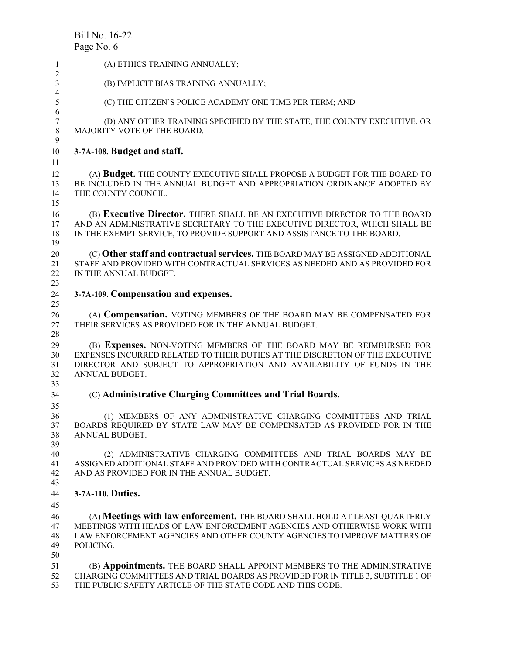| 1                                | (A) ETHICS TRAINING ANNUALLY;                                                                                                                                                                                                                   |
|----------------------------------|-------------------------------------------------------------------------------------------------------------------------------------------------------------------------------------------------------------------------------------------------|
| 2<br>3                           | (B) IMPLICIT BIAS TRAINING ANNUALLY;                                                                                                                                                                                                            |
| 4<br>5<br>6                      | (C) THE CITIZEN'S POLICE ACADEMY ONE TIME PER TERM; AND                                                                                                                                                                                         |
| $\boldsymbol{7}$<br>$8\,$        | (D) ANY OTHER TRAINING SPECIFIED BY THE STATE, THE COUNTY EXECUTIVE, OR<br>MAJORITY VOTE OF THE BOARD.                                                                                                                                          |
| 9<br>10                          | 3-7A-108. Budget and staff.                                                                                                                                                                                                                     |
| 11<br>12<br>13<br>14<br>15       | (A) Budget. THE COUNTY EXECUTIVE SHALL PROPOSE A BUDGET FOR THE BOARD TO<br>BE INCLUDED IN THE ANNUAL BUDGET AND APPROPRIATION ORDINANCE ADOPTED BY<br>THE COUNTY COUNCIL.                                                                      |
| 16<br>17<br>18<br>19             | (B) Executive Director. THERE SHALL BE AN EXECUTIVE DIRECTOR TO THE BOARD<br>AND AN ADMINISTRATIVE SECRETARY TO THE EXECUTIVE DIRECTOR, WHICH SHALL BE<br>IN THE EXEMPT SERVICE, TO PROVIDE SUPPORT AND ASSISTANCE TO THE BOARD.                |
| 20<br>21<br>22<br>23             | (C) Other staff and contractual services. THE BOARD MAY BE ASSIGNED ADDITIONAL<br>STAFF AND PROVIDED WITH CONTRACTUAL SERVICES AS NEEDED AND AS PROVIDED FOR<br>IN THE ANNUAL BUDGET.                                                           |
| 24<br>25                         | 3-7A-109. Compensation and expenses.                                                                                                                                                                                                            |
| 26<br>27<br>28                   | (A) Compensation. VOTING MEMBERS OF THE BOARD MAY BE COMPENSATED FOR<br>THEIR SERVICES AS PROVIDED FOR IN THE ANNUAL BUDGET.                                                                                                                    |
| 29<br>30<br>31<br>32<br>33       | (B) Expenses. NON-VOTING MEMBERS OF THE BOARD MAY BE REIMBURSED FOR<br>EXPENSES INCURRED RELATED TO THEIR DUTIES AT THE DISCRETION OF THE EXECUTIVE<br>DIRECTOR AND SUBJECT TO APPROPRIATION AND AVAILABILITY OF FUNDS IN THE<br>ANNUAL BUDGET. |
| 34                               | (C) Administrative Charging Committees and Trial Boards.                                                                                                                                                                                        |
| 35<br>36<br>37<br>38<br>39       | (1) MEMBERS OF ANY ADMINISTRATIVE CHARGING COMMITTEES AND TRIAL<br>BOARDS REQUIRED BY STATE LAW MAY BE COMPENSATED AS PROVIDED FOR IN THE<br>ANNUAL BUDGET.                                                                                     |
| 40<br>41<br>42<br>43             | (2) ADMINISTRATIVE CHARGING COMMITTEES AND TRIAL BOARDS MAY BE<br>ASSIGNED ADDITIONAL STAFF AND PROVIDED WITH CONTRACTUAL SERVICES AS NEEDED<br>AND AS PROVIDED FOR IN THE ANNUAL BUDGET.                                                       |
| 44                               | 3-7A-110. Duties.                                                                                                                                                                                                                               |
| 45<br>46<br>47<br>48<br>49<br>50 | (A) Meetings with law enforcement. THE BOARD SHALL HOLD AT LEAST QUARTERLY<br>MEETINGS WITH HEADS OF LAW ENFORCEMENT AGENCIES AND OTHERWISE WORK WITH<br>LAW ENFORCEMENT AGENCIES AND OTHER COUNTY AGENCIES TO IMPROVE MATTERS OF<br>POLICING.  |
| 51<br>52<br>53                   | (B) Appointments. THE BOARD SHALL APPOINT MEMBERS TO THE ADMINISTRATIVE<br>CHARGING COMMITTEES AND TRIAL BOARDS AS PROVIDED FOR IN TITLE 3, SUBTITLE 1 OF<br>THE PUBLIC SAFETY ARTICLE OF THE STATE CODE AND THIS CODE.                         |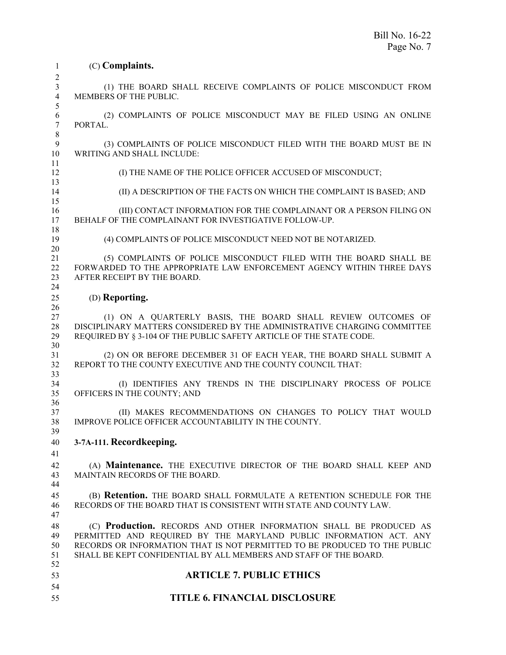| 1                          | (C) Complaints.                                                                                                                                                                                                                                                                            |
|----------------------------|--------------------------------------------------------------------------------------------------------------------------------------------------------------------------------------------------------------------------------------------------------------------------------------------|
| 2                          |                                                                                                                                                                                                                                                                                            |
| 3<br>$\overline{4}$<br>5   | (1) THE BOARD SHALL RECEIVE COMPLAINTS OF POLICE MISCONDUCT FROM<br>MEMBERS OF THE PUBLIC.                                                                                                                                                                                                 |
| 6<br>$\tau$<br>8           | (2) COMPLAINTS OF POLICE MISCONDUCT MAY BE FILED USING AN ONLINE<br>PORTAL.                                                                                                                                                                                                                |
| 9<br>10                    | (3) COMPLAINTS OF POLICE MISCONDUCT FILED WITH THE BOARD MUST BE IN<br>WRITING AND SHALL INCLUDE:                                                                                                                                                                                          |
| 11<br>12<br>13             | (I) THE NAME OF THE POLICE OFFICER ACCUSED OF MISCONDUCT;                                                                                                                                                                                                                                  |
| 14<br>15                   | (II) A DESCRIPTION OF THE FACTS ON WHICH THE COMPLAINT IS BASED; AND                                                                                                                                                                                                                       |
| 16<br>17<br>18             | (III) CONTACT INFORMATION FOR THE COMPLAINANT OR A PERSON FILING ON<br>BEHALF OF THE COMPLAINANT FOR INVESTIGATIVE FOLLOW-UP.                                                                                                                                                              |
| 19<br>20                   | (4) COMPLAINTS OF POLICE MISCONDUCT NEED NOT BE NOTARIZED.                                                                                                                                                                                                                                 |
| 21<br>22<br>23<br>24       | (5) COMPLAINTS OF POLICE MISCONDUCT FILED WITH THE BOARD SHALL BE<br>FORWARDED TO THE APPROPRIATE LAW ENFORCEMENT AGENCY WITHIN THREE DAYS<br>AFTER RECEIPT BY THE BOARD.                                                                                                                  |
| 25<br>26                   | (D) Reporting.                                                                                                                                                                                                                                                                             |
| 27<br>28<br>29<br>30       | (1) ON A QUARTERLY BASIS, THE BOARD SHALL REVIEW OUTCOMES OF<br>DISCIPLINARY MATTERS CONSIDERED BY THE ADMINISTRATIVE CHARGING COMMITTEE<br>REQUIRED BY § 3-104 OF THE PUBLIC SAFETY ARTICLE OF THE STATE CODE.                                                                            |
| 31<br>32                   | (2) ON OR BEFORE DECEMBER 31 OF EACH YEAR, THE BOARD SHALL SUBMIT A<br>REPORT TO THE COUNTY EXECUTIVE AND THE COUNTY COUNCIL THAT:                                                                                                                                                         |
| 33<br>34<br>35             | (I) IDENTIFIES ANY TRENDS IN THE DISCIPLINARY PROCESS OF POLICE<br>OFFICERS IN THE COUNTY; AND                                                                                                                                                                                             |
| 36<br>37<br>38<br>39       | (II) MAKES RECOMMENDATIONS ON CHANGES TO POLICY THAT WOULD<br>IMPROVE POLICE OFFICER ACCOUNTABILITY IN THE COUNTY.                                                                                                                                                                         |
| 40<br>41                   | 3-7A-111. Recordkeeping.                                                                                                                                                                                                                                                                   |
| 42<br>43<br>44             | (A) Maintenance. THE EXECUTIVE DIRECTOR OF THE BOARD SHALL KEEP AND<br>MAINTAIN RECORDS OF THE BOARD.                                                                                                                                                                                      |
| 45<br>46<br>47             | (B) Retention. THE BOARD SHALL FORMULATE A RETENTION SCHEDULE FOR THE<br>RECORDS OF THE BOARD THAT IS CONSISTENT WITH STATE AND COUNTY LAW.                                                                                                                                                |
| 48<br>49<br>50<br>51<br>52 | (C) Production. RECORDS AND OTHER INFORMATION SHALL BE PRODUCED AS<br>PERMITTED AND REQUIRED BY THE MARYLAND PUBLIC INFORMATION ACT. ANY<br>RECORDS OR INFORMATION THAT IS NOT PERMITTED TO BE PRODUCED TO THE PUBLIC<br>SHALL BE KEPT CONFIDENTIAL BY ALL MEMBERS AND STAFF OF THE BOARD. |
| 53                         | <b>ARTICLE 7. PUBLIC ETHICS</b>                                                                                                                                                                                                                                                            |
| 54                         |                                                                                                                                                                                                                                                                                            |
| 55                         | <b>TITLE 6. FINANCIAL DISCLOSURE</b>                                                                                                                                                                                                                                                       |